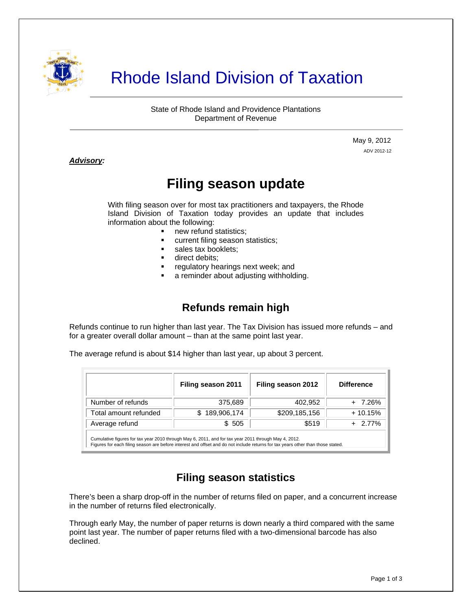

# Rhode Island Division of Taxation

State of Rhode Island and Providence Plantations Department of Revenue

> May 9, 2012 ADV 2012-12

#### *Advisory:*

j

## **Filing season update**

With filing season over for most tax practitioners and taxpayers, the Rhode Island Division of Taxation today provides an update that includes information about the following:

- new refund statistics;
- current filing season statistics;
- sales tax booklets;
- **direct debits;**
- regulatory hearings next week; and
- a reminder about adjusting withholding.

### **Refunds remain high**

Refunds continue to run higher than last year. The Tax Division has issued more refunds – and for a greater overall dollar amount – than at the same point last year.

The average refund is about \$14 higher than last year, up about 3 percent.

|                       | Filing season 2011 | Filing season 2012 | <b>Difference</b> |
|-----------------------|--------------------|--------------------|-------------------|
| Number of refunds     | 375,689            | 402,952            | + 7.26%           |
| Total amount refunded | 189,906,174        | \$209,185,156      | $+10.15%$         |
| Average refund        | \$505              | \$519              | 2.77%             |
|                       |                    |                    |                   |

Cumulative figures for tax year 2010 through May 6, 2011, and for tax year 2011 through May 4, 2012. Figures for each filing season are before interest and offset and do not include returns for tax years other than those stated.

#### **Filing season statistics**

There's been a sharp drop-off in the number of returns filed on paper, and a concurrent increase in the number of returns filed electronically.

Through early May, the number of paper returns is down nearly a third compared with the same point last year. The number of paper returns filed with a two-dimensional barcode has also declined.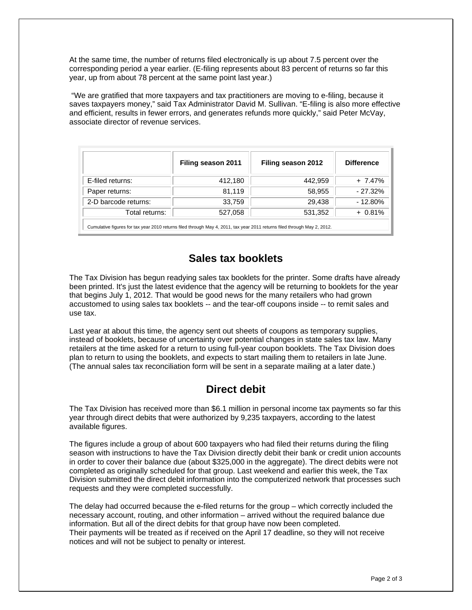At the same time, the number of returns filed electronically is up about 7.5 percent over the corresponding period a year earlier. (E-filing represents about 83 percent of returns so far this year, up from about 78 percent at the same point last year.)

 "We are gratified that more taxpayers and tax practitioners are moving to e-filing, because it saves taxpayers money," said Tax Administrator David M. Sullivan. "E-filing is also more effective and efficient, results in fewer errors, and generates refunds more quickly," said Peter McVay, associate director of revenue services.

|                                                                                                                          | Filing season 2011 | Filing season 2012 | <b>Difference</b> |  |  |
|--------------------------------------------------------------------------------------------------------------------------|--------------------|--------------------|-------------------|--|--|
| E-filed returns:                                                                                                         | 412,180            | 442,959            | $+ 7.47%$         |  |  |
| Paper returns:                                                                                                           | 81,119             | 58,955             | $-27.32%$         |  |  |
| 2-D barcode returns:                                                                                                     | 33,759             | 29,438             | $-12.80%$         |  |  |
| Total returns:                                                                                                           | 527,058            | 531,352            | $+0.81%$          |  |  |
| Cumulative figures for tax year 2010 returns filed through May 4, 2011, tax year 2011 returns filed through May 2, 2012. |                    |                    |                   |  |  |

#### **Sales tax booklets**

The Tax Division has begun readying sales tax booklets for the printer. Some drafts have already been printed. It's just the latest evidence that the agency will be returning to booklets for the year that begins July 1, 2012. That would be good news for the many retailers who had grown accustomed to using sales tax booklets -- and the tear-off coupons inside -- to remit sales and use tax.

Last year at about this time, the agency sent out sheets of coupons as temporary supplies, instead of booklets, because of uncertainty over potential changes in state sales tax law. Many retailers at the time asked for a return to using full-year coupon booklets. The Tax Division does plan to return to using the booklets, and expects to start mailing them to retailers in late June. (The annual sales tax reconciliation form will be sent in a separate mailing at a later date.)

#### **Direct debit**

The Tax Division has received more than \$6.1 million in personal income tax payments so far this year through direct debits that were authorized by 9,235 taxpayers, according to the latest available figures.

The figures include a group of about 600 taxpayers who had filed their returns during the filing season with instructions to have the Tax Division directly debit their bank or credit union accounts in order to cover their balance due (about \$325,000 in the aggregate). The direct debits were not completed as originally scheduled for that group. Last weekend and earlier this week, the Tax Division submitted the direct debit information into the computerized network that processes such requests and they were completed successfully.

The delay had occurred because the e-filed returns for the group – which correctly included the necessary account, routing, and other information – arrived without the required balance due information. But all of the direct debits for that group have now been completed. Their payments will be treated as if received on the April 17 deadline, so they will not receive notices and will not be subject to penalty or interest.